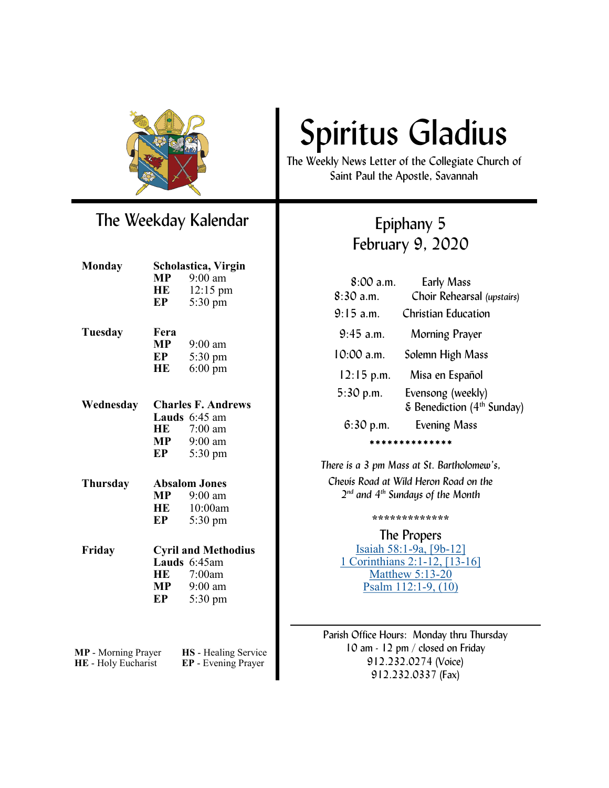

### The Weekday Kalendar

| Monday          | Scholastica, Virgin        |                   |
|-----------------|----------------------------|-------------------|
|                 | <b>MP</b>                  | $9:00$ am         |
|                 | <b>HE</b>                  | 12:15 pm          |
|                 | EP                         | 5:30 pm           |
|                 |                            |                   |
| Tuesday         | Fera                       |                   |
|                 | $\bf{MP}$                  | 9:00 am           |
|                 | EP                         | 5:30 pm           |
|                 | HE                         | $6:00 \text{ pm}$ |
|                 |                            |                   |
| Wednesday       | <b>Charles F. Andrews</b>  |                   |
|                 |                            | Lauds 6:45 am     |
|                 |                            | HE 7:00 am        |
|                 |                            | $MP$ 9:00 am      |
|                 | EP                         | 5:30 pm           |
|                 | <b>Absalom Jones</b>       |                   |
| <b>Thursday</b> |                            |                   |
|                 |                            | $MP$ 9:00 am      |
|                 |                            | HE 10:00am        |
|                 | EP                         | 5:30 pm           |
| Friday          | <b>Cyril and Methodius</b> |                   |
|                 |                            | Lauds 6:45am      |
|                 |                            | HE 7:00am         |
|                 | <b>MP</b>                  | 9:00 am           |
|                 | EP                         | 5:30 pm           |
|                 |                            |                   |
|                 |                            |                   |
|                 |                            |                   |

**HE** - Holy Eucharist

**MP** - Morning Prayer **HS** - Healing Service<br>**HE** - Holy Eucharist **EP** - Evening Prayer

# Spiritus Gladius

The Weekly News Letter of the Collegiate Church of Saint Paul the Apostle, Savannah

## Epiphany 5 February 9, 2020

| <b>Early Mass</b>                               |  |  |
|-------------------------------------------------|--|--|
| Choir Rehearsal (upstairs)                      |  |  |
| Christian Education                             |  |  |
| Morning Prayer                                  |  |  |
| Solemn High Mass                                |  |  |
| Misa en Español                                 |  |  |
| Evensong (weekly)                               |  |  |
| $\epsilon$ Benediction (4 <sup>th</sup> Sunday) |  |  |
| <b>Evening Mass</b>                             |  |  |
| * * * * * * * * * * *                           |  |  |
|                                                 |  |  |

*There is a 3 pm Mass at St. Bartholomew's, Chevis Road at Wild Heron Road on the 2 nd and 4th Sundays of the Month*

**\*\*\*\*\*\*\*\*\*\*\*\*\***

The Propers [Isaiah 58:1](https://www.lectionarypage.net/YearA_RCL/Epiphany/AEpi5_RCL.html#ot1)-9a, [9b-12] [1 Corinthians 2:1](https://www.lectionarypage.net/YearA_RCL/Epiphany/AEpi5_RCL.html#nt1)-12, [13-16] [Matthew 5:13](https://www.lectionarypage.net/YearA_RCL/Epiphany/AEpi5_RCL.html#gsp1)-20 [Psalm 112:1](https://www.lectionarypage.net/YearA_RCL/Epiphany/AEpi5_RCL.html#ps1)-9, (10)

Parish Office Hours: Monday thru Thursday 10 am - 12 pm / closed on Friday 912.232.0274 (Voice) 912.232.0337 (Fax)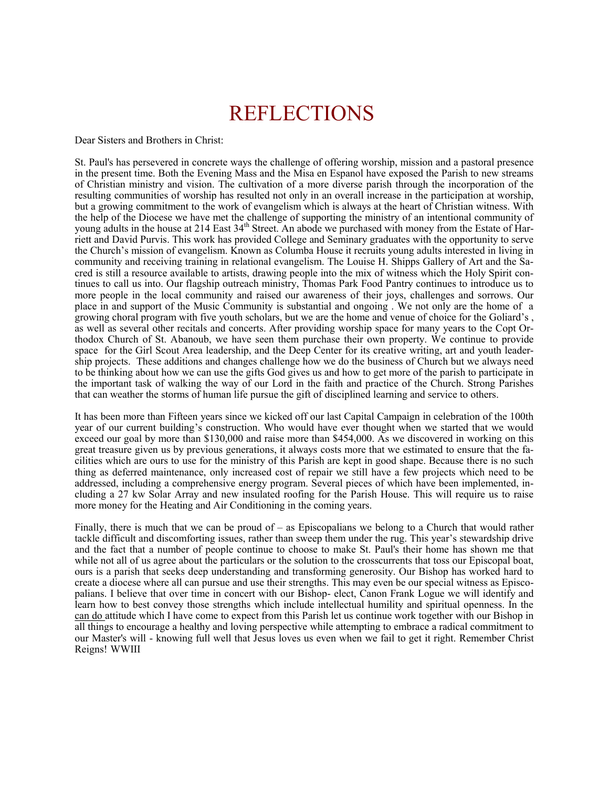## REFLECTIONS

Dear Sisters and Brothers in Christ:

St. Paul's has persevered in concrete ways the challenge of offering worship, mission and a pastoral presence in the present time. Both the Evening Mass and the Misa en Espanol have exposed the Parish to new streams of Christian ministry and vision. The cultivation of a more diverse parish through the incorporation of the resulting communities of worship has resulted not only in an overall increase in the participation at worship, but a growing commitment to the work of evangelism which is always at the heart of Christian witness. With the help of the Diocese we have met the challenge of supporting the ministry of an intentional community of young adults in the house at 214 East 34<sup>th</sup> Street. An abode we purchased with money from the Estate of Harriett and David Purvis. This work has provided College and Seminary graduates with the opportunity to serve the Church's mission of evangelism. Known as Columba House it recruits young adults interested in living in community and receiving training in relational evangelism. The Louise H. Shipps Gallery of Art and the Sacred is still a resource available to artists, drawing people into the mix of witness which the Holy Spirit continues to call us into. Our flagship outreach ministry, Thomas Park Food Pantry continues to introduce us to more people in the local community and raised our awareness of their joys, challenges and sorrows. Our place in and support of the Music Community is substantial and ongoing . We not only are the home of a growing choral program with five youth scholars, but we are the home and venue of choice for the Goliard's , as well as several other recitals and concerts. After providing worship space for many years to the Copt Orthodox Church of St. Abanoub, we have seen them purchase their own property. We continue to provide space for the Girl Scout Area leadership, and the Deep Center for its creative writing, art and youth leadership projects. These additions and changes challenge how we do the business of Church but we always need to be thinking about how we can use the gifts God gives us and how to get more of the parish to participate in the important task of walking the way of our Lord in the faith and practice of the Church. Strong Parishes that can weather the storms of human life pursue the gift of disciplined learning and service to others.

It has been more than Fifteen years since we kicked off our last Capital Campaign in celebration of the 100th year of our current building's construction. Who would have ever thought when we started that we would exceed our goal by more than \$130,000 and raise more than \$454,000. As we discovered in working on this great treasure given us by previous generations, it always costs more that we estimated to ensure that the facilities which are ours to use for the ministry of this Parish are kept in good shape. Because there is no such thing as deferred maintenance, only increased cost of repair we still have a few projects which need to be addressed, including a comprehensive energy program. Several pieces of which have been implemented, including a 27 kw Solar Array and new insulated roofing for the Parish House. This will require us to raise more money for the Heating and Air Conditioning in the coming years.

Finally, there is much that we can be proud of – as Episcopalians we belong to a Church that would rather tackle difficult and discomforting issues, rather than sweep them under the rug. This year's stewardship drive and the fact that a number of people continue to choose to make St. Paul's their home has shown me that while not all of us agree about the particulars or the solution to the crosscurrents that toss our Episcopal boat, ours is a parish that seeks deep understanding and transforming generosity. Our Bishop has worked hard to create a diocese where all can pursue and use their strengths. This may even be our special witness as Episcopalians. I believe that over time in concert with our Bishop- elect, Canon Frank Logue we will identify and learn how to best convey those strengths which include intellectual humility and spiritual openness. In the can do attitude which I have come to expect from this Parish let us continue work together with our Bishop in all things to encourage a healthy and loving perspective while attempting to embrace a radical commitment to our Master's will - knowing full well that Jesus loves us even when we fail to get it right. Remember Christ Reigns! WWIII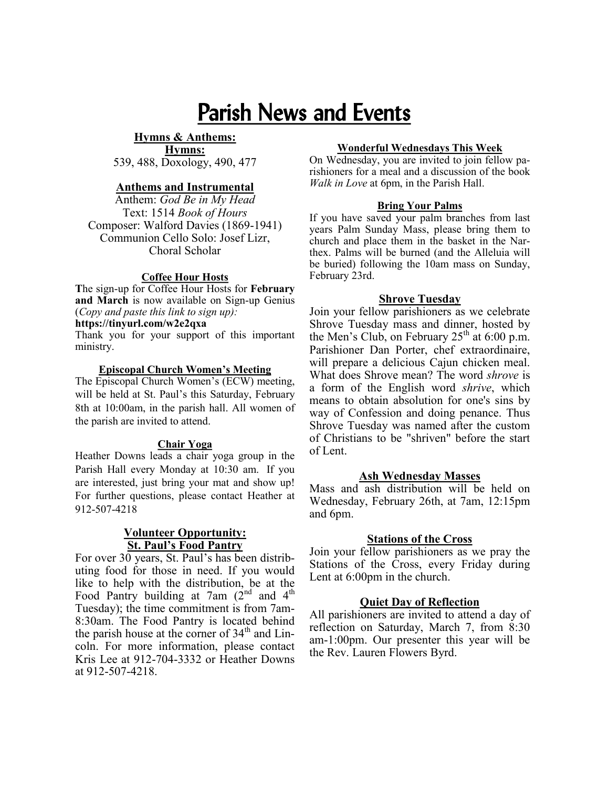# Parish News and Events

#### **Hymns & Anthems: Hymns:**

539, 488, Doxology, 490, 477

#### **Anthems and Instrumental**

Anthem: *God Be in My Head*  Text: 1514 *Book of Hours* Composer: Walford Davies (1869-1941) Communion Cello Solo: Josef Lizr, Choral Scholar

#### **Coffee Hour Hosts**

**T**he sign-up for Coffee Hour Hosts for **February and March** is now available on Sign-up Genius (*Copy and paste this link to sign up):*

**https://tinyurl.com/w2e2qxa**

Thank you for your support of this important ministry.

#### **Episcopal Church Women's Meeting**

The Episcopal Church Women's (ECW) meeting, will be held at St. Paul's this Saturday, February 8th at 10:00am, in the parish hall. All women of the parish are invited to attend.

#### **Chair Yoga**

Heather Downs leads a chair yoga group in the Parish Hall every Monday at 10:30 am. If you are interested, just bring your mat and show up! For further questions, please contact Heather at 912-507-4218

#### **Volunteer Opportunity: St. Paul's Food Pantry**

For over 30 years, St. Paul's has been distributing food for those in need. If you would like to help with the distribution, be at the Food Pantry building at 7am  $(2^{nd}$  and 4<sup>th</sup> Tuesday); the time commitment is from 7am-8:30am. The Food Pantry is located behind the parish house at the corner of 34<sup>th</sup> and Lincoln. For more information, please contact Kris Lee at 912-704-3332 or Heather Downs at 912-507-4218.

#### **Wonderful Wednesdays This Week**

On Wednesday, you are invited to join fellow parishioners for a meal and a discussion of the book *Walk in Love* at 6pm, in the Parish Hall.

#### **Bring Your Palms**

If you have saved your palm branches from last years Palm Sunday Mass, please bring them to church and place them in the basket in the Narthex. Palms will be burned (and the Alleluia will be buried) following the 10am mass on Sunday, February 23rd.

#### **Shrove Tuesday**

Join your fellow parishioners as we celebrate Shrove Tuesday mass and dinner, hosted by the Men's Club, on February  $25<sup>th</sup>$  at 6:00 p.m. Parishioner Dan Porter, chef extraordinaire, will prepare a delicious Cajun chicken meal. What does Shrove mean? The word *shrove* is a form of the English word *shrive*, which means to obtain [absolution](https://en.wikipedia.org/wiki/Absolution) for one's [sins](https://en.wikipedia.org/wiki/Sin) by way of [Confession a](https://en.wikipedia.org/wiki/Confession_(religion))nd doing [penance.](https://en.wikipedia.org/wiki/Penance) Thus Shrove Tuesday was named after the custom of Christians to be "shriven" before the start of Lent.

#### **Ash Wednesday Masses**

Mass and ash distribution will be held on Wednesday, February 26th, at 7am, 12:15pm and 6pm.

#### **Stations of the Cross**

Join your fellow parishioners as we pray the Stations of the Cross, every Friday during Lent at 6:00pm in the church.

#### **Quiet Day of Reflection**

All parishioners are invited to attend a day of reflection on Saturday, March 7, from 8:30 am-1:00pm. Our presenter this year will be the Rev. Lauren Flowers Byrd.